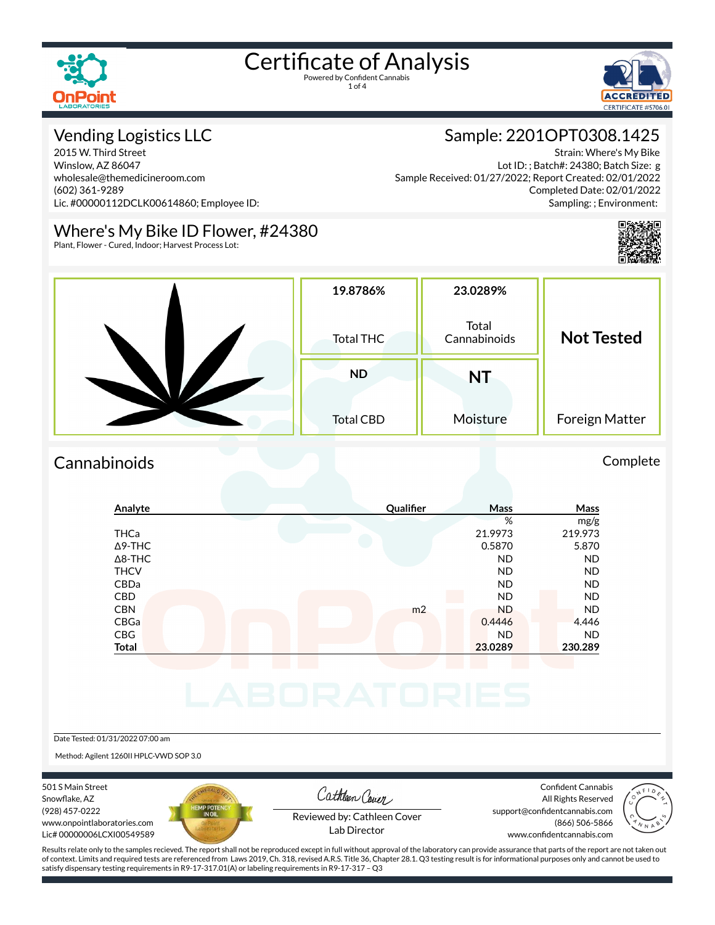

1 of 4



### Vending Logistics LLC

2015 W. Third Street Winslow, AZ 86047 wholesale@themedicineroom.com (602) 361-9289 Lic. #00000112DCLK00614860; Employee ID:

Sample: 2201OPT0308.1425 Strain: Where's My Bike Lot ID: ; Batch#: 24380; Batch Size: g Sample Received: 01/27/2022; Report Created: 02/01/2022

Completed Date: 02/01/2022 Sampling: ; Environment:

### Where's My Bike ID Flower, #24380

Plant, Flower - Cured, Indoor; Harvest Process Lot:



|  | 19.8786%<br>Total THC         | 23.0289%<br>Total<br>Cannabinoids | <b>Not Tested</b> |  |
|--|-------------------------------|-----------------------------------|-------------------|--|
|  | <b>ND</b><br><b>Total CBD</b> | <b>NT</b><br>Moisture             | Foreign Matter    |  |

### Cannabinoids Complete

### **Analyte Qualier Mass Mass** % mg/g THCa 21.9973 219.973  $\Delta$ 9-THC 5.870 5.870 5.870 5.870 5.870 5.870 5.870 5.870 5.870 5.870 5.870 5.870 5.870 5.870 5.870 5.870 5.870 5.870 5.870 5.870 5.870 5.870 5.870 5.870 5.870 5.870 5.870 5.870 5.870 5.870 5.870 5.870 5.870 5.870 5.870 5 Δ8-THC ND ND THCV ND ND CBDa ND ND CBD A RESIDENCE OF A RESIDENCE OF A RESIDENCE OF A RESIDENCE OF A RESIDENCE OF A RESIDENCE OF A RESIDENCE OF A CBN m2 ND ND CBGa 0.4446 4.446 CBG ND ND **Total 23.0289 230.289**

Date Tested: 01/31/2022 07:00 am

Method: Agilent 1260II HPLC-VWD SOP 3.0

501 S Main Street Snowflake, AZ (928) 457-0222 www.onpointlaboratories.com Lic# 00000006LCXI00549589



Cathleen Cover

Confident Cannabis All Rights Reserved support@confidentcannabis.com (866) 506-5866



Reviewed by: Cathleen Cover Lab Director

www.confidentcannabis.com

Results relate only to the samples recieved. The report shall not be reproduced except in full without approval of the laboratory can provide assurance that parts of the report are not taken out of context. Limits and required tests are referenced from Laws 2019, Ch. 318, revised A.R.S. Title 36, Chapter 28.1. Q3 testing result is for informational purposes only and cannot be used to satisfy dispensary testing requirements in R9-17-317.01(A) or labeling requirements in R9-17-317 – Q3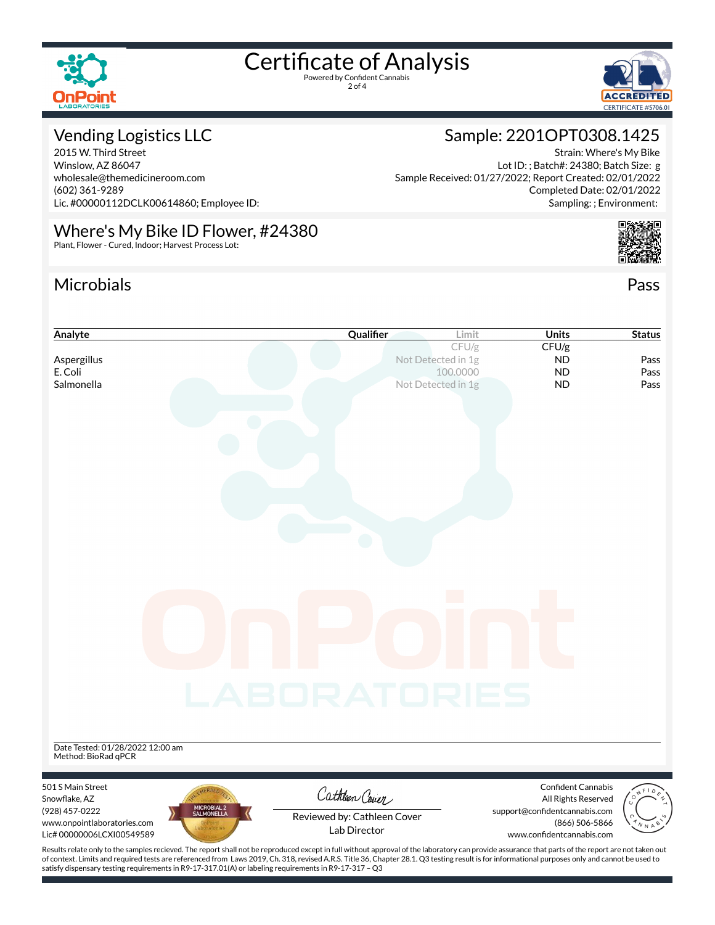

2 of 4



### Vending Logistics LLC

2015 W. Third Street Winslow, AZ 86047 wholesale@themedicineroom.com (602) 361-9289 Lic. #00000112DCLK00614860; Employee ID:

### Sample: 2201OPT0308.1425

Strain: Where's My Bike Lot ID: ; Batch#: 24380; Batch Size: g Sample Received: 01/27/2022; Report Created: 02/01/2022 Completed Date: 02/01/2022 Sampling: ; Environment:

### Where's My Bike ID Flower, #24380

satisfy dispensary testing requirements in R9-17-317.01(A) or labeling requirements in R9-17-317 – Q3

Plant, Flower - Cured, Indoor; Harvest Process Lot:

### Microbials Pass



| Analyte                                                                                                                                                                                            | Qualifier                   | Limit                          | <b>Units</b>                                | <b>Status</b> |
|----------------------------------------------------------------------------------------------------------------------------------------------------------------------------------------------------|-----------------------------|--------------------------------|---------------------------------------------|---------------|
|                                                                                                                                                                                                    |                             | CFU/g                          | CFU/g                                       |               |
| Aspergillus                                                                                                                                                                                        |                             | Not Detected in 1g             | <b>ND</b>                                   | Pass          |
| E. Coli<br>Salmonella                                                                                                                                                                              |                             | 100,0000<br>Not Detected in 1g | <b>ND</b><br><b>ND</b>                      | Pass<br>Pass  |
|                                                                                                                                                                                                    |                             |                                |                                             |               |
|                                                                                                                                                                                                    |                             |                                |                                             |               |
|                                                                                                                                                                                                    |                             |                                |                                             |               |
|                                                                                                                                                                                                    |                             |                                |                                             |               |
|                                                                                                                                                                                                    |                             |                                |                                             |               |
|                                                                                                                                                                                                    |                             |                                |                                             |               |
|                                                                                                                                                                                                    |                             |                                |                                             |               |
|                                                                                                                                                                                                    |                             |                                |                                             |               |
|                                                                                                                                                                                                    |                             |                                |                                             |               |
|                                                                                                                                                                                                    |                             |                                |                                             |               |
|                                                                                                                                                                                                    |                             |                                |                                             |               |
|                                                                                                                                                                                                    |                             |                                |                                             |               |
|                                                                                                                                                                                                    |                             |                                |                                             |               |
|                                                                                                                                                                                                    |                             |                                |                                             |               |
|                                                                                                                                                                                                    |                             |                                |                                             |               |
|                                                                                                                                                                                                    |                             |                                |                                             |               |
|                                                                                                                                                                                                    |                             |                                |                                             |               |
|                                                                                                                                                                                                    |                             |                                |                                             |               |
|                                                                                                                                                                                                    |                             |                                |                                             |               |
|                                                                                                                                                                                                    |                             |                                |                                             |               |
|                                                                                                                                                                                                    | <b>LABORATORIES</b>         |                                |                                             |               |
|                                                                                                                                                                                                    |                             |                                |                                             |               |
|                                                                                                                                                                                                    |                             |                                |                                             |               |
|                                                                                                                                                                                                    |                             |                                |                                             |               |
| Date Tested: 01/28/2022 12:00 am<br>Method: BioRad qPCR                                                                                                                                            |                             |                                |                                             |               |
|                                                                                                                                                                                                    |                             |                                |                                             |               |
| 501 S Main Street                                                                                                                                                                                  |                             |                                | Confident Cannabis                          |               |
| Snowflake, AZ                                                                                                                                                                                      | Cathleen Cover              |                                | All Rights Reserved                         |               |
| MICROBIAL 2<br>SALMONELLA<br>(928) 457-0222                                                                                                                                                        | Reviewed by: Cathleen Cover |                                | support@confidentcannabis.com               |               |
| www.onpointlaboratories.com<br>Lic# 00000006LCXI00549589                                                                                                                                           | Lab Director                |                                | (866) 506-5866<br>www.confidentcannabis.com |               |
| Results relate only to the samples recieved. The report shall not be reproduced except in full without approval of the laboratory can provide assurance that parts of the report are not taken out |                             |                                |                                             |               |
| of context. Limits and required tests are referenced from Laws 2019, Ch. 318, revised A.R.S. Title 36, Chapter 28.1. Q3 testing result is for informational purposes only and cannot be used to    |                             |                                |                                             |               |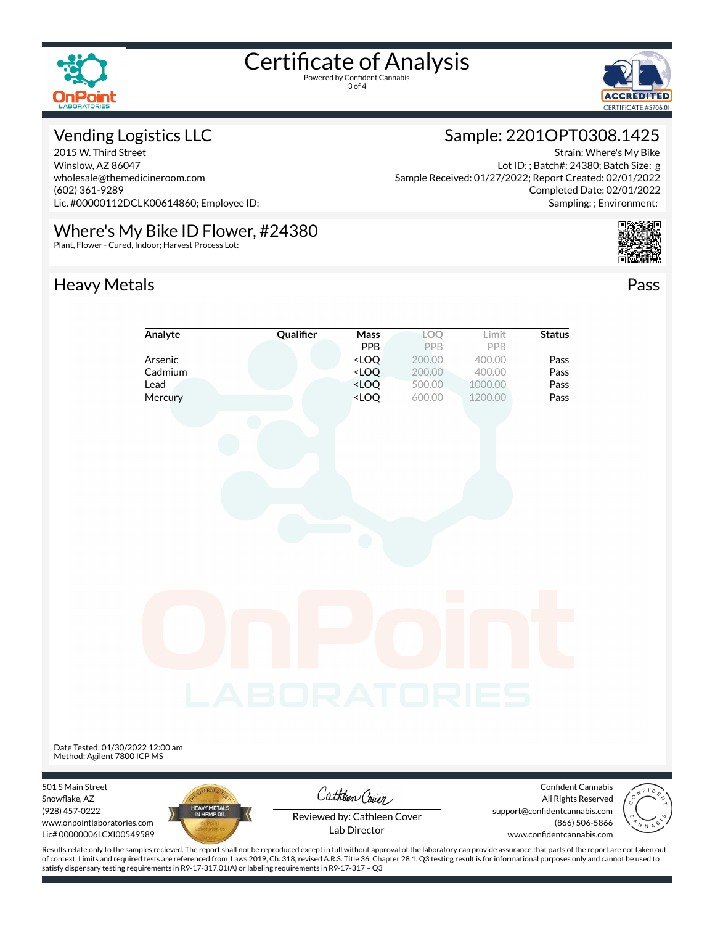

3 of 4

**Analyte 12 Cualifier Mass LOQ Limit Status** 



### Vending Logistics LLC

2015 W. Third Street Winslow, AZ 86047 wholesale@themedicineroom.com (602) 361-9289 Lic. #00000112DCLK00614860; Employee ID:

Plant, Flower - Cured, Indoor; Harvest Process Lot:

Where's My Bike ID Flower, #24380

### Sample: 2201OPT0308.1425

Strain: Where's My Bike Lot ID: ; Batch#: 24380; Batch Size: g Sample Received: 01/27/2022; Report Created: 02/01/2022 Completed Date: 02/01/2022 Sampling: ; Environment:



### Heavy Metals **Pass**

Lic# 00000006LCXI00549589





Lab Director

(866) 506-5866 www.confidentcannabis.com

Results relate only to the samples recieved. The report shall not be reproduced except in full without approval of the laboratory can provide assurance that parts of the report are not taken out of context. Limits and required tests are referenced from Laws 2019, Ch. 318, revised A.R.S. Title 36, Chapter 28.1. Q3 testing result is for informational purposes only and cannot be used to satisfy dispensary testing requirements in R9-17-317.01(A) or labeling requirements in R9-17-317 – Q3